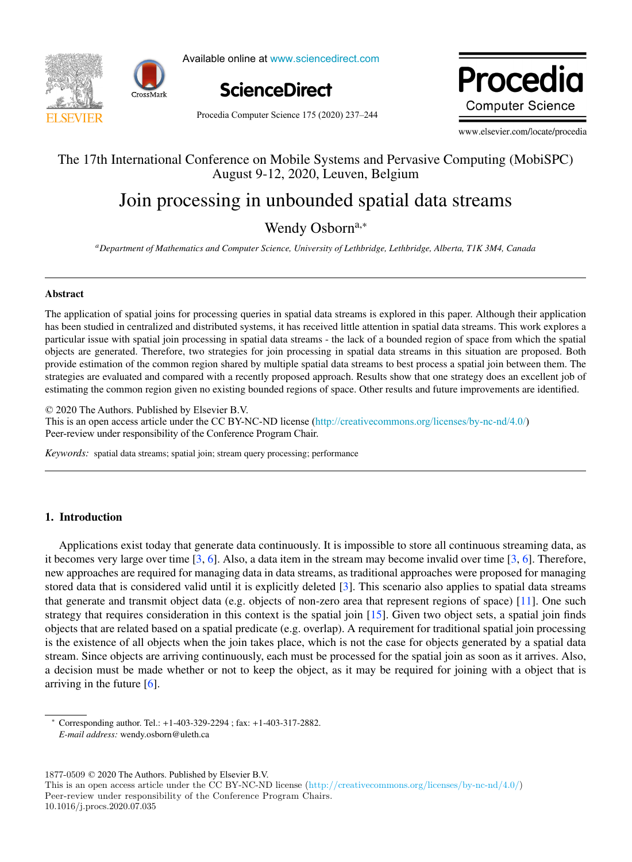



Available online at www.sciencedirect.com



Procedia Computer Science 175 (2020) 237-244

**Procedio Computer Science** 

www.elsevier.com/locate/procedia

## The 17th International Conference on Mobile Systems and Pervasive Computing (MobiSPC) The 17th International Conference on Mobile Systems and Pervasive Computing (MobiSPC) August 9-12, 2020, Leuven, Belgium

# Join processing in unbounded spatial data streams Join processing in unbounded spatial data streams

Wendy Osborn<sup>a,∗</sup>

a<br>Department of Mathematics and Computer Science, University of Lethbridge, Lethbridge, Alberta, TIK 3M4, Canada

## Abstract Abstract

The application of spatial joins for processing queries in spatial data streams is explored in this paper. Although their application The application of spatial joins for processing queries in spatial data streams is explored in this paper. Although their application has been studied in centralized and distributed systems, it has received little attention in spatial data streams. This work explores a particular issue with spatial join processing in spatial data streams - the lack of a bounded region of space from which the spatial objects are generated. Therefore, two strategies for join processing in spatial data streams in this situation are proposed. Both provide estimation of the common region shared by multiple spatial data streams to best process a spatial join between them. The strategies are evaluated and compared with a recently proposed approach. Results show that one strategy does an excellent job of estimating the common region given no existing bounded regions of space. Other results and future improvements are identified.

 $© 2020$  The Authors. Published by Elsevier B.V. This is an open access article under the CC BY-NC-ND license (<http://creativecommons.org/licenses/by-nc-nd/4.0/>) Peer-review under responsibility of the Conference Program Chair. Peer-review under responsibility of the Conference Program Chairs.

*Keywords:* spatial data streams; spatial join; stream query processing; performance *Keywords:* spatial data streams; spatial join; stream query processing; performance

## 1. Introduction

Applications exist today that generate data continuously. It is impossible to store all continuous streaming data, as it becomes very large over time  $[3, 6]$ . Also, a data item in the stream may become invalid over time  $[3, 6]$ . Therefore, new approaches are required for managing data in data streams, as traditional approaches were proposed for managing stored data that is considered valid until it is explicitly deleted [3]. This scenario also applies to spatial data streams that generate and transmit object data (e.g. objects of non-zero area that represent regions of space) [11]. One such strategy that requires consideration in this context is the spatial join  $[15]$ . Given two object sets, a spatial join finds objects that are related based on a spatial predicate (e.g. overlap). A requirement for traditional spatial join processing is the existence of all objects when the join takes place, which is not the case for objects generated by a spatial data stream. Since objects are arriving continuously, each must be processed for the spatial join as soon as it arrives. Also, a decision must be made whether or not to keep the object, as it may be required for joining with a object that is arriving in the future [6]. arriving in the future [6]. a decision must be must whether or not to keep the object, as it may be required for joining with a object that is

 $1877-0509 \odot 2020$  The Authors. Published by Elsevier B.V.

*E-mail address:* wendy.osborn@uleth.ca

<sup>∗</sup> Corresponding author. Tel.: +1-403-329-2294 ; fax: +1-403-317-2882. *E-mail address:* wendy.osborn@uleth.ca

This is an open access article under the CC BY-NC-ND license (http://creativecommons.org/licenses/by-nc-nd/4.0/) Peer-review under responsibility of the Conference Program Chairs. 10.1016/j.procs.2020.07.035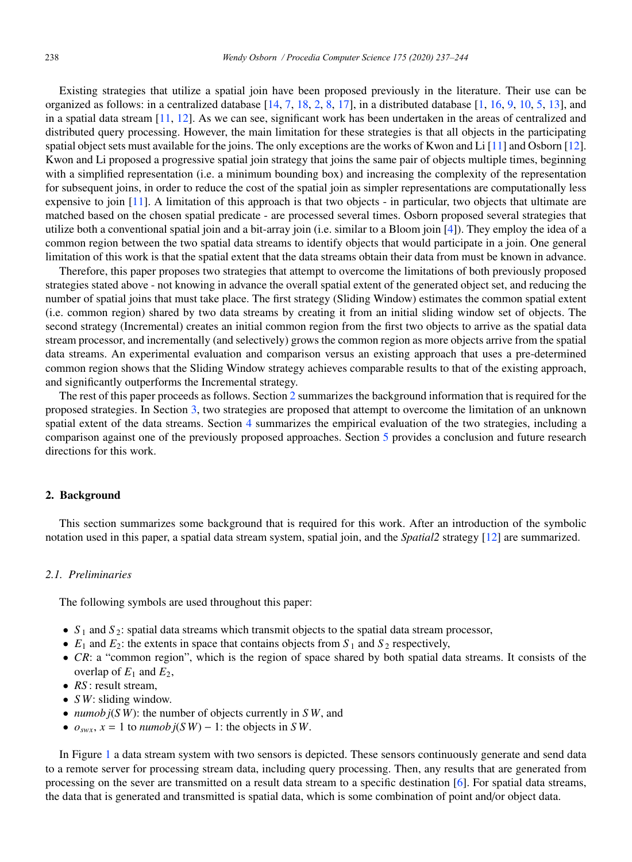Existing strategies that utilize a spatial join have been proposed previously in the literature. Their use can be organized as follows: in a centralized database  $[14, 7, 18, 2, 8, 17]$ , in a distributed database  $[1, 16, 9, 10, 5, 13]$ , and in a spatial data stream  $[11, 12]$ . As we can see, significant work has been undertaken in the areas of centralized and distributed query processing. However, the main limitation for these strategies is that all objects in the participating spatial object sets must available for the joins. The only exceptions are the works of Kwon and Li [11] and Osborn [12]. Kwon and Li proposed a progressive spatial join strategy that joins the same pair of objects multiple times, beginning with a simplified representation (i.e. a minimum bounding box) and increasing the complexity of the representation for subsequent joins, in order to reduce the cost of the spatial join as simpler representations are computationally less expensive to join [11]. A limitation of this approach is that two objects - in particular, two objects that ultimate are matched based on the chosen spatial predicate - are processed several times. Osborn proposed several strategies that utilize both a conventional spatial join and a bit-array join (i.e. similar to a Bloom join [4]). They employ the idea of a common region between the two spatial data streams to identify objects that would participate in a join. One general limitation of this work is that the spatial extent that the data streams obtain their data from must be known in advance.

Therefore, this paper proposes two strategies that attempt to overcome the limitations of both previously proposed strategies stated above - not knowing in advance the overall spatial extent of the generated object set, and reducing the number of spatial joins that must take place. The first strategy (Sliding Window) estimates the common spatial extent (i.e. common region) shared by two data streams by creating it from an initial sliding window set of objects. The second strategy (Incremental) creates an initial common region from the first two objects to arrive as the spatial data stream processor, and incrementally (and selectively) grows the common region as more objects arrive from the spatial data streams. An experimental evaluation and comparison versus an existing approach that uses a pre-determined common region shows that the Sliding Window strategy achieves comparable results to that of the existing approach, and significantly outperforms the Incremental strategy.

The rest of this paper proceeds as follows. Section 2 summarizes the background information that is required for the proposed strategies. In Section 3, two strategies are proposed that attempt to overcome the limitation of an unknown spatial extent of the data streams. Section 4 summarizes the empirical evaluation of the two strategies, including a comparison against one of the previously proposed approaches. Section 5 provides a conclusion and future research directions for this work.

## 2. Background

This section summarizes some background that is required for this work. After an introduction of the symbolic notation used in this paper, a spatial data stream system, spatial join, and the *Spatial2* strategy [12] are summarized.

## *2.1. Preliminaries*

The following symbols are used throughout this paper:

- $S_1$  and  $S_2$ : spatial data streams which transmit objects to the spatial data stream processor,
- $E_1$  and  $E_2$ : the extents in space that contains objects from  $S_1$  and  $S_2$  respectively,
- *CR*: a "common region", which is the region of space shared by both spatial data streams. It consists of the overlap of  $E_1$  and  $E_2$ ,
- *RS* : result stream,
- *S W*: sliding window.
- *numob j*(*S W*): the number of objects currently in *S W*, and
- $o_{swx}$ ,  $x = 1$  to *numob j*(*SW*) 1: the objects in *SW*.

In Figure 1 a data stream system with two sensors is depicted. These sensors continuously generate and send data to a remote server for processing stream data, including query processing. Then, any results that are generated from processing on the sever are transmitted on a result data stream to a specific destination [6]. For spatial data streams, the data that is generated and transmitted is spatial data, which is some combination of point and/or object data.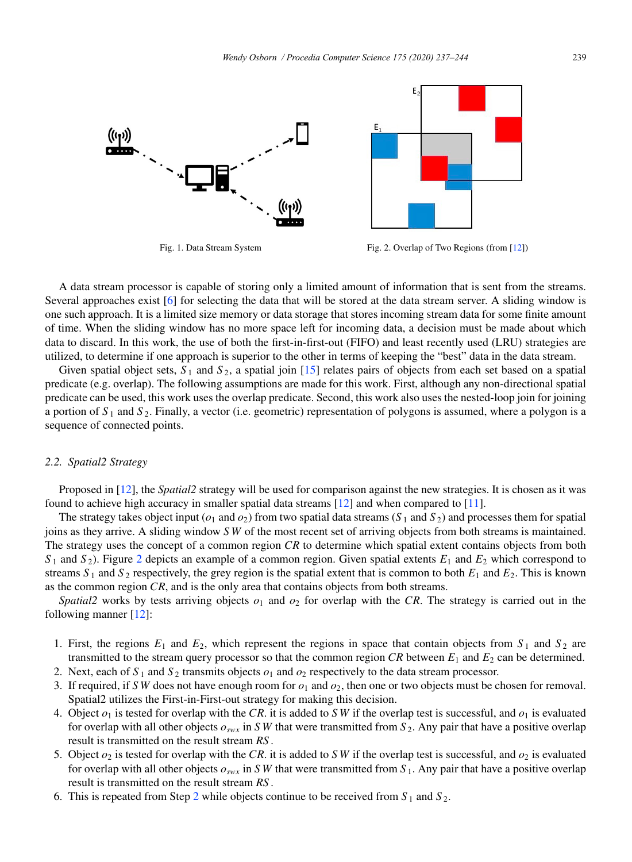



Fig. 1. Data Stream System Fig. 2. Overlap of Two Regions (from [12])

A data stream processor is capable of storing only a limited amount of information that is sent from the streams. Several approaches exist [6] for selecting the data that will be stored at the data stream server. A sliding window is one such approach. It is a limited size memory or data storage that stores incoming stream data for some finite amount of time. When the sliding window has no more space left for incoming data, a decision must be made about which data to discard. In this work, the use of both the first-in-first-out (FIFO) and least recently used (LRU) strategies are utilized, to determine if one approach is superior to the other in terms of keeping the "best" data in the data stream.

Given spatial object sets,  $S_1$  and  $S_2$ , a spatial join [15] relates pairs of objects from each set based on a spatial predicate (e.g. overlap). The following assumptions are made for this work. First, although any non-directional spatial predicate can be used, this work uses the overlap predicate. Second, this work also uses the nested-loop join for joining a portion of *S* <sup>1</sup> and *S* 2. Finally, a vector (i.e. geometric) representation of polygons is assumed, where a polygon is a sequence of connected points.

#### *2.2. Spatial2 Strategy*

Proposed in [12], the *Spatial2* strategy will be used for comparison against the new strategies. It is chosen as it was found to achieve high accuracy in smaller spatial data streams [12] and when compared to [11].

The strategy takes object input ( $o_1$  and  $o_2$ ) from two spatial data streams ( $S_1$  and  $S_2$ ) and processes them for spatial joins as they arrive. A sliding window *S W* of the most recent set of arriving objects from both streams is maintained. The strategy uses the concept of a common region *CR* to determine which spatial extent contains objects from both  $S_1$  and  $S_2$ ). Figure 2 depicts an example of a common region. Given spatial extents  $E_1$  and  $E_2$  which correspond to streams  $S_1$  and  $S_2$  respectively, the grey region is the spatial extent that is common to both  $E_1$  and  $E_2$ . This is known as the common region *CR*, and is the only area that contains objects from both streams.

*Spatial2* works by tests arriving objects  $o_1$  and  $o_2$  for overlap with the *CR*. The strategy is carried out in the following manner [12]:

- 1. First, the regions  $E_1$  and  $E_2$ , which represent the regions in space that contain objects from  $S_1$  and  $S_2$  are transmitted to the stream query processor so that the common region  $CR$  between  $E_1$  and  $E_2$  can be determined.
- 2. Next, each of  $S_1$  and  $S_2$  transmits objects  $o_1$  and  $o_2$  respectively to the data stream processor.
- 3. If required, if *SW* does not have enough room for  $o_1$  and  $o_2$ , then one or two objects must be chosen for removal. Spatial2 utilizes the First-in-First-out strategy for making this decision.
- 4. Object  $o_1$  is tested for overlap with the *CR*. it is added to *SW* if the overlap test is successful, and  $o_1$  is evaluated for overlap with all other objects  $o_{swx}$  in *SW* that were transmitted from  $S_2$ . Any pair that have a positive overlap result is transmitted on the result stream *RS* .
- 5. Object  $o_2$  is tested for overlap with the *CR*. it is added to *SW* if the overlap test is successful, and  $o_2$  is evaluated for overlap with all other objects  $o_{swx}$  in *SW* that were transmitted from  $S_1$ . Any pair that have a positive overlap result is transmitted on the result stream *RS* .
- 6. This is repeated from Step 2 while objects continue to be received from  $S_1$  and  $S_2$ .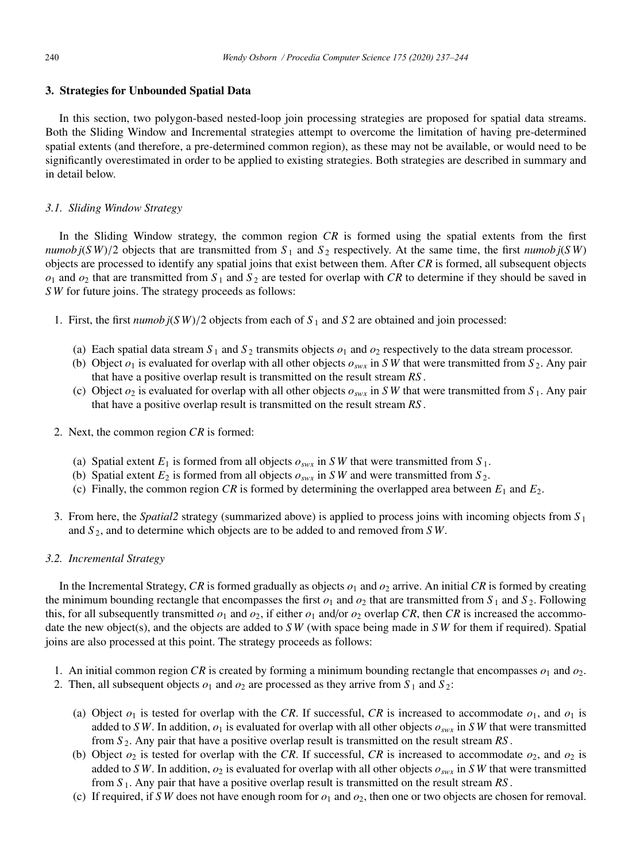## 3. Strategies for Unbounded Spatial Data

In this section, two polygon-based nested-loop join processing strategies are proposed for spatial data streams. Both the Sliding Window and Incremental strategies attempt to overcome the limitation of having pre-determined spatial extents (and therefore, a pre-determined common region), as these may not be available, or would need to be significantly overestimated in order to be applied to existing strategies. Both strategies are described in summary and in detail below.

## *3.1. Sliding Window Strategy*

In the Sliding Window strategy, the common region *CR* is formed using the spatial extents from the first *numob*  $j(SW)/2$  objects that are transmitted from  $S_1$  and  $S_2$  respectively. At the same time, the first *numob*  $j(SW)$ objects are processed to identify any spatial joins that exist between them. After *CR* is formed, all subsequent objects  $o_1$  and  $o_2$  that are transmitted from  $S_1$  and  $S_2$  are tested for overlap with *CR* to determine if they should be saved in *S W* for future joins. The strategy proceeds as follows:

- 1. First, the first  $\frac{n \text{ mod } j(SW)}{2}$  objects from each of  $S_1$  and  $S_2$  are obtained and join processed:
	- (a) Each spatial data stream  $S_1$  and  $S_2$  transmits objects  $o_1$  and  $o_2$  respectively to the data stream processor.
	- (b) Object  $o_1$  is evaluated for overlap with all other objects  $o_{swx}$  in *SW* that were transmitted from *S*<sub>2</sub>. Any pair that have a positive overlap result is transmitted on the result stream *RS* .
	- (c) Object  $o_2$  is evaluated for overlap with all other objects  $o_{swx}$  in *SW* that were transmitted from  $S_1$ . Any pair that have a positive overlap result is transmitted on the result stream *RS* .
- 2. Next, the common region *CR* is formed:
	- (a) Spatial extent  $E_1$  is formed from all objects  $o_{swx}$  in *SW* that were transmitted from  $S_1$ .
	- (b) Spatial extent  $E_2$  is formed from all objects  $o_{swx}$  in *SW* and were transmitted from  $S_2$ .
	- (c) Finally, the common region *CR* is formed by determining the overlapped area between  $E_1$  and  $E_2$ .
- 3. From here, the *Spatial2* strategy (summarized above) is applied to process joins with incoming objects from *S* <sup>1</sup> and *S* 2, and to determine which objects are to be added to and removed from *S W*.

## *3.2. Incremental Strategy*

In the Incremental Strategy, *CR* is formed gradually as objects  $o_1$  and  $o_2$  arrive. An initial *CR* is formed by creating the minimum bounding rectangle that encompasses the first  $o_1$  and  $o_2$  that are transmitted from  $S_1$  and  $S_2$ . Following this, for all subsequently transmitted  $o_1$  and  $o_2$ , if either  $o_1$  and/or  $o_2$  overlap *CR*, then *CR* is increased the accommodate the new object(s), and the objects are added to *S W* (with space being made in *S W* for them if required). Spatial joins are also processed at this point. The strategy proceeds as follows:

- 1. An initial common region *CR* is created by forming a minimum bounding rectangle that encompasses  $o_1$  and  $o_2$ .
- 2. Then, all subsequent objects  $o_1$  and  $o_2$  are processed as they arrive from  $S_1$  and  $S_2$ :
	- (a) Object  $o_1$  is tested for overlap with the *CR*. If successful, *CR* is increased to accommodate  $o_1$ , and  $o_1$  is added to *SW*. In addition,  $o_1$  is evaluated for overlap with all other objects  $o_{swx}$  in *SW* that were transmitted from *S* 2. Any pair that have a positive overlap result is transmitted on the result stream *RS* .
	- (b) Object  $o_2$  is tested for overlap with the *CR*. If successful, *CR* is increased to accommodate  $o_2$ , and  $o_2$  is added to *SW*. In addition,  $o_2$  is evaluated for overlap with all other objects  $o_{swx}$  in *SW* that were transmitted from *S* 1. Any pair that have a positive overlap result is transmitted on the result stream *RS* .
	- (c) If required, if *SW* does not have enough room for  $o_1$  and  $o_2$ , then one or two objects are chosen for removal.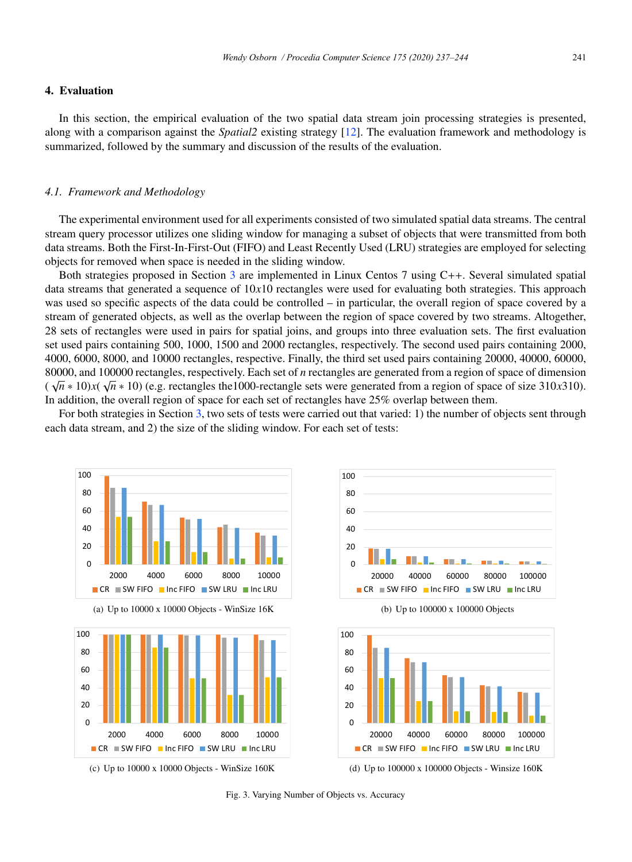## 4. Evaluation

In this section, the empirical evaluation of the two spatial data stream join processing strategies is presented, along with a comparison against the *Spatial2* existing strategy [12]. The evaluation framework and methodology is summarized, followed by the summary and discussion of the results of the evaluation.

#### *4.1. Framework and Methodology*

The experimental environment used for all experiments consisted of two simulated spatial data streams. The central stream query processor utilizes one sliding window for managing a subset of objects that were transmitted from both data streams. Both the First-In-First-Out (FIFO) and Least Recently Used (LRU) strategies are employed for selecting objects for removed when space is needed in the sliding window.

Both strategies proposed in Section 3 are implemented in Linux Centos 7 using C++. Several simulated spatial data streams that generated a sequence of 10*x*10 rectangles were used for evaluating both strategies. This approach was used so specific aspects of the data could be controlled – in particular, the overall region of space covered by a stream of generated objects, as well as the overlap between the region of space covered by two streams. Altogether, 28 sets of rectangles were used in pairs for spatial joins, and groups into three evaluation sets. The first evaluation set used pairs containing 500, 1000, 1500 and 2000 rectangles, respectively. The second used pairs containing 2000, 4000, 6000, 8000, and 10000 rectangles, respective. Finally, the third set used pairs containing 20000, 40000, 60000, 80000, and 100000 rectangles, respectively. Each set of *n* rectangles are generated from a region of space of dimension  $(\sqrt{n} * 10)x(\sqrt{n} * 10)$  (e.g. rectangles the 1000-rectangle sets were generated from a region of space of size 310*x*310). In addition, the overall region of space for each set of rectangles have 25% overlap between them.

For both strategies in Section 3, two sets of tests were carried out that varied: 1) the number of objects sent through each data stream, and 2) the size of the sliding window. For each set of tests:



Fig. 3. Varying Number of Objects vs. Accuracy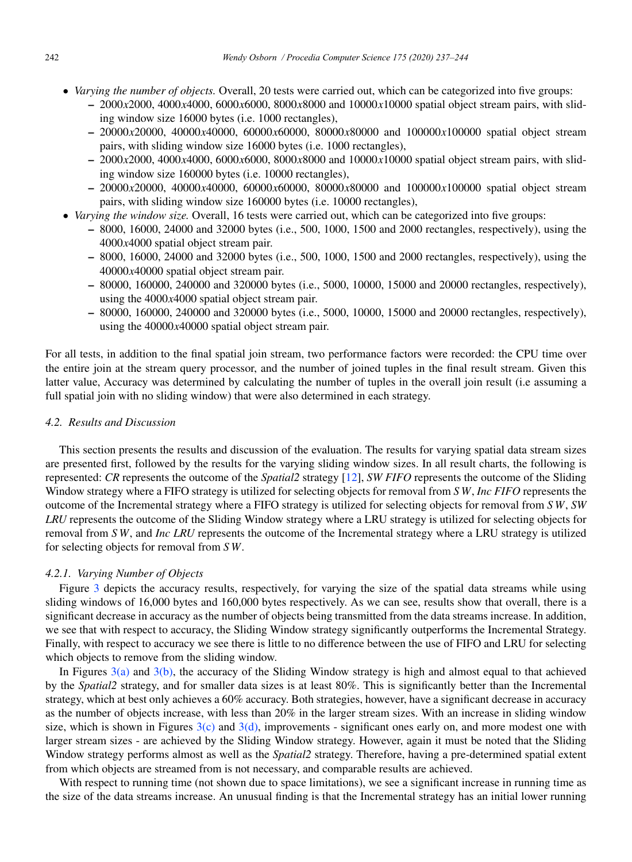- *Varying the number of objects.* Overall, 20 tests were carried out, which can be categorized into five groups:
	- 2000*x*2000, 4000*x*4000, 6000*x*6000, 8000*x*8000 and 10000*x*10000 spatial object stream pairs, with sliding window size 16000 bytes (i.e. 1000 rectangles),
	- 20000*x*20000, 40000*x*40000, 60000*x*60000, 80000*x*80000 and 100000*x*100000 spatial object stream pairs, with sliding window size 16000 bytes (i.e. 1000 rectangles),
	- 2000*x*2000, 4000*x*4000, 6000*x*6000, 8000*x*8000 and 10000*x*10000 spatial object stream pairs, with sliding window size 160000 bytes (i.e. 10000 rectangles),
	- 20000*x*20000, 40000*x*40000, 60000*x*60000, 80000*x*80000 and 100000*x*100000 spatial object stream pairs, with sliding window size 160000 bytes (i.e. 10000 rectangles),
- *Varying the window size.* Overall, 16 tests were carried out, which can be categorized into five groups:
	- 8000, 16000, 24000 and 32000 bytes (i.e., 500, 1000, 1500 and 2000 rectangles, respectively), using the 4000*x*4000 spatial object stream pair.
	- 8000, 16000, 24000 and 32000 bytes (i.e., 500, 1000, 1500 and 2000 rectangles, respectively), using the 40000*x*40000 spatial object stream pair.
	- 80000, 160000, 240000 and 320000 bytes (i.e., 5000, 10000, 15000 and 20000 rectangles, respectively), using the 4000*x*4000 spatial object stream pair.
	- 80000, 160000, 240000 and 320000 bytes (i.e., 5000, 10000, 15000 and 20000 rectangles, respectively), using the 40000*x*40000 spatial object stream pair.

For all tests, in addition to the final spatial join stream, two performance factors were recorded: the CPU time over the entire join at the stream query processor, and the number of joined tuples in the final result stream. Given this latter value, Accuracy was determined by calculating the number of tuples in the overall join result (i.e assuming a full spatial join with no sliding window) that were also determined in each strategy.

### *4.2. Results and Discussion*

This section presents the results and discussion of the evaluation. The results for varying spatial data stream sizes are presented first, followed by the results for the varying sliding window sizes. In all result charts, the following is represented: *CR* represents the outcome of the *Spatial2* strategy [12], *SW FIFO* represents the outcome of the Sliding Window strategy where a FIFO strategy is utilized for selecting objects for removal from *S W*, *Inc FIFO* represents the outcome of the Incremental strategy where a FIFO strategy is utilized for selecting objects for removal from *S W*, *SW LRU* represents the outcome of the Sliding Window strategy where a LRU strategy is utilized for selecting objects for removal from *S W*, and *Inc LRU* represents the outcome of the Incremental strategy where a LRU strategy is utilized for selecting objects for removal from *S W*.

#### *4.2.1. Varying Number of Objects*

Figure 3 depicts the accuracy results, respectively, for varying the size of the spatial data streams while using sliding windows of 16,000 bytes and 160,000 bytes respectively. As we can see, results show that overall, there is a significant decrease in accuracy as the number of objects being transmitted from the data streams increase. In addition, we see that with respect to accuracy, the Sliding Window strategy significantly outperforms the Incremental Strategy. Finally, with respect to accuracy we see there is little to no difference between the use of FIFO and LRU for selecting which objects to remove from the sliding window.

In Figures  $3(a)$  and  $3(b)$ , the accuracy of the Sliding Window strategy is high and almost equal to that achieved by the *Spatial2* strategy, and for smaller data sizes is at least 80%. This is significantly better than the Incremental strategy, which at best only achieves a 60% accuracy. Both strategies, however, have a significant decrease in accuracy as the number of objects increase, with less than 20% in the larger stream sizes. With an increase in sliding window size, which is shown in Figures  $3(c)$  and  $3(d)$ , improvements - significant ones early on, and more modest one with larger stream sizes - are achieved by the Sliding Window strategy. However, again it must be noted that the Sliding Window strategy performs almost as well as the *Spatial2* strategy. Therefore, having a pre-determined spatial extent from which objects are streamed from is not necessary, and comparable results are achieved.

With respect to running time (not shown due to space limitations), we see a significant increase in running time as the size of the data streams increase. An unusual finding is that the Incremental strategy has an initial lower running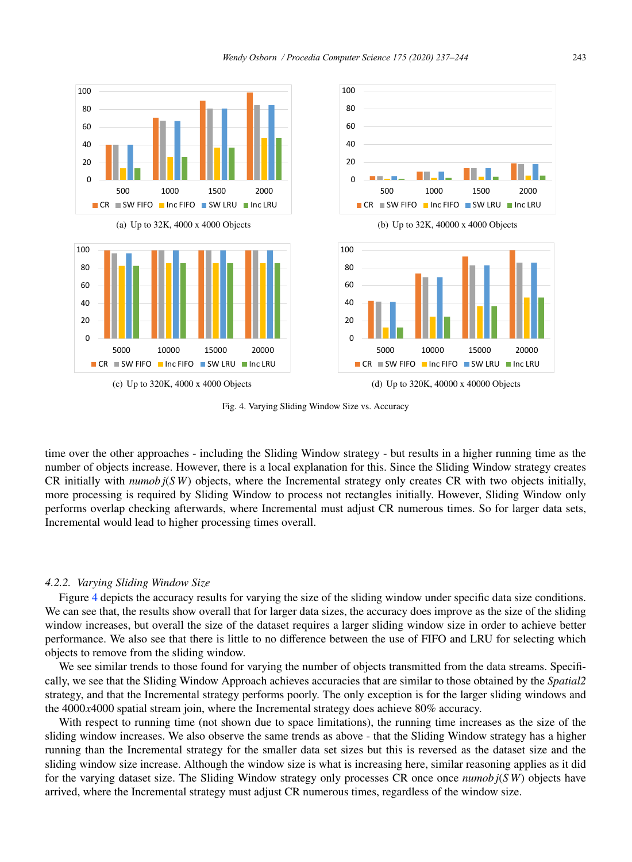

Fig. 4. Varying Sliding Window Size vs. Accuracy

time over the other approaches - including the Sliding Window strategy - but results in a higher running time as the number of objects increase. However, there is a local explanation for this. Since the Sliding Window strategy creates CR initially with *numob j*(*S W*) objects, where the Incremental strategy only creates CR with two objects initially, more processing is required by Sliding Window to process not rectangles initially. However, Sliding Window only performs overlap checking afterwards, where Incremental must adjust CR numerous times. So for larger data sets, Incremental would lead to higher processing times overall.

#### *4.2.2. Varying Sliding Window Size*

Figure 4 depicts the accuracy results for varying the size of the sliding window under specific data size conditions. We can see that, the results show overall that for larger data sizes, the accuracy does improve as the size of the sliding window increases, but overall the size of the dataset requires a larger sliding window size in order to achieve better performance. We also see that there is little to no difference between the use of FIFO and LRU for selecting which objects to remove from the sliding window.

We see similar trends to those found for varying the number of objects transmitted from the data streams. Specifically, we see that the Sliding Window Approach achieves accuracies that are similar to those obtained by the *Spatial2* strategy, and that the Incremental strategy performs poorly. The only exception is for the larger sliding windows and the 4000*x*4000 spatial stream join, where the Incremental strategy does achieve 80% accuracy.

With respect to running time (not shown due to space limitations), the running time increases as the size of the sliding window increases. We also observe the same trends as above - that the Sliding Window strategy has a higher running than the Incremental strategy for the smaller data set sizes but this is reversed as the dataset size and the sliding window size increase. Although the window size is what is increasing here, similar reasoning applies as it did for the varying dataset size. The Sliding Window strategy only processes CR once once *numob j*(*S W*) objects have arrived, where the Incremental strategy must adjust CR numerous times, regardless of the window size.